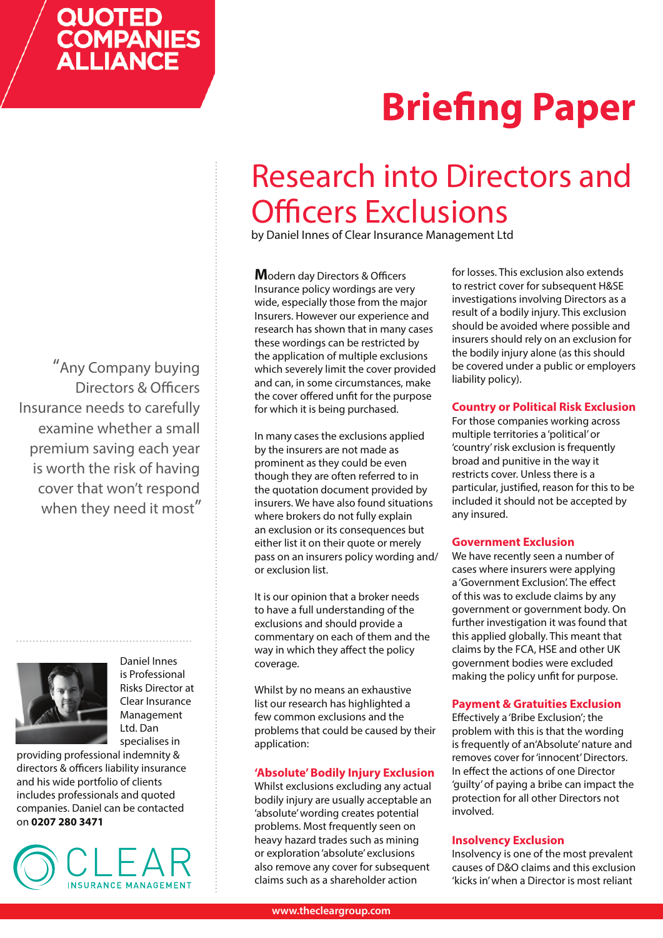## QUOTED **COMPANIES**<br>ALLIANCE

# **Briefing Paper**

### Research into Directors and Officers Exclusions

by Daniel Innes of Clear Insurance Management Ltd

**M**odern day Directors & Officers Insurance policy wordings are very wide, especially those from the major Insurers. However our experience and research has shown that in many cases these wordings can be restricted by the application of multiple exclusions which severely limit the cover provided and can, in some circumstances, make the cover offered unfit for the purpose for which it is being purchased.

In many cases the exclusions applied by the insurers are not made as prominent as they could be even though they are often referred to in the quotation document provided by insurers. We have also found situations where brokers do not fully explain an exclusion or its consequences but either list it on their quote or merely pass on an insurers policy wording and/ or exclusion list.

It is our opinion that a broker needs to have a full understanding of the exclusions and should provide a commentary on each of them and the way in which they affect the policy coverage.

Whilst by no means an exhaustive list our research has highlighted a few common exclusions and the problems that could be caused by their application:

#### **'Absolute' Bodily Injury Exclusion**

Whilst exclusions excluding any actual bodily injury are usually acceptable an 'absolute' wording creates potential problems. Most frequently seen on heavy hazard trades such as mining or exploration 'absolute' exclusions also remove any cover for subsequent claims such as a shareholder action

for losses. This exclusion also extends to restrict cover for subsequent H&SE investigations involving Directors as a result of a bodily injury. This exclusion should be avoided where possible and insurers should rely on an exclusion for the bodily injury alone (as this should be covered under a public or employers liability policy).

#### **Country or Political Risk Exclusion**

For those companies working across multiple territories a 'political' or 'country' risk exclusion is frequently broad and punitive in the way it restricts cover. Unless there is a particular, justified, reason for this to be included it should not be accepted by any insured.

#### **Government Exclusion**

We have recently seen a number of cases where insurers were applying a 'Government Exclusion'. The effect of this was to exclude claims by any government or government body. On further investigation it was found that this applied globally. This meant that claims by the FCA, HSE and other UK government bodies were excluded making the policy unfit for purpose.

#### **Payment & Gratuities Exclusion**

Effectively a 'Bribe Exclusion'; the problem with this is that the wording is frequently of an'Absolute' nature and removes cover for 'innocent' Directors. In effect the actions of one Director 'guilty' of paying a bribe can impact the protection for all other Directors not involved.

#### **Insolvency Exclusion**

Insolvency is one of the most prevalent causes of D&O claims and this exclusion 'kicks in' when a Director is most reliant

"Any Company buying Directors & Officers Insurance needs to carefully examine whether a small premium saving each year is worth the risk of having cover that won't respond when they need it most"



Daniel Innes is Professional Risks Director at Clear Insurance Management Ltd. Dan specialises in

providing professional indemnity & directors & officers liability insurance and his wide portfolio of clients includes professionals and quoted companies. Daniel can be contacted on **0207 280 3471**